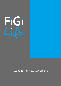

Website Terms & Conditions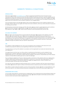

# WEBSITE TERMS & CONDITIONS

# **INTRODUCTION**

Welcome to our website www.figilife.com.au which is owned and operated by Future Insurance Group International Pty Ltd (FiGi Life) ACN 619 183 149, AFSL 506558. Should you continue to use this website, you are agreeing to comply with and be bound by the following terms and conditions of use, which together with our Customer Privacy Policy govern FiGi Life's relationship with you in connection with this website. Should you not agree with any of these terms and conditions, please do not use our website.

If you purchase products through our website, there may be additional terms and conditions relating to the purchase. Please make sure you agree with these terms and conditions, which you will be directed to read prior to making your purchase.

As the business environment changes and FiGi Life evolves, we may need to update our terms and conditions. we will announce changes on our website, and we may also notify you by sending you an email. Any reference to "us", "we" or "our" means Future Insurance Group International Pty Ltd (FiGi Life).

# ACCURACY OF CONTENT

We have taken care and precautions to ensure that the information we provide on this website is accurate. However, we cannot guarantee, nor do we accept any legal liability permissible by law arising from or connected to, the accuracy, reliability, currency or completeness of anything contained on this website or on any linked site. Your use of any information or materials on this website is entirely at your own risk, for which we shall not be liable. It shall be your own responsibility to ensure that any products, services or information available through this website meet your specific requirements.

# **USE**

Our website is made available for your use on your acceptance and compliance with these terms and conditions. By using this website, you are agreeing to these terms and conditions.

You agree that you will use this website in accordance with all applicable local, state and national laws, rules and regulations.

You agree that you will not use, nor will you allow or authorise any third party to use the website for any purpose that is unlawful, defamatory, harassing, abusive, fraudulent or in an obscene way or in any other inappropriate way or in a way which conflicts with the website or the services. Unauthorised use of this website may be a criminal offence and/or give rise to a claim for damages.

If you contribute to our forum (if any) or make any public comments on this website which are, in our opinion, unlawful, defamatory, harassing, abusive, fraudulent or obscene or in any other way inappropriate or which conflict with the website or the services offered, then we may at our discretion, refuse to publish such comments and/or remove them from the website.

You may only use the website for lawful purposes and in a manner consistent with the nature and purpose of the website. we reserve the right to refuse or terminate service to anyone at any time without notice or reason.

Every effort is made to keep the website up and running smoothly. However, we take no responsibility for, and will not be liable for, the website being temporarily unavailable due to technical issues beyond our control.

# PASSWORDS AND LOGINS

You are solely responsible for maintaining the confidentiality of your passwords and username/login details and for all activities carried out under your password and login. we reserve all rights to terminate accounts, edit or remove content and cancel orders at our discretion.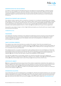

## INDEMNIFICATION FOR LOSS OR DAMAGE

You agree to indemnify us and hold us harmless from and against any and all liabilities or expenses arising from or in any way related to your use of this website or the services or information offered on this website, including any liability or expense arising from all claims, losses, damages (actual and consequential), suits, judgments, litigation costs and solicitor's fees of every kind and nature incurred by you or any third parties through you.

#### INTELLECTUAL PROPERTY AND COPYRIGHTS

This website contains material, which is owned by or licensed to Us, including all uploaded files, layout design, data, graphics, articles, file content, codes, news, tutorials, videos, reviews, forum posts and databases contained on the website or in connection with the services. You must not use or replicate our copyright material other than as permitted by law. Specifically, you must not use or replicate our copyright material for commercial purposes unless expressly agreed to by Us, in which case we may require you to sign a licence agreement.

If you wish to use content, images or other of our intellectual property, you should submit your request to us at the following email address:

[info@figilife.com.au](mailto:info@figilife.com.au)

#### **TRADEMARKS**

The trademarks and logos contained on this website are trademarks of Future Insurance Group International Pty Ltd (Trading as FiGi Life). Use of these trademarks is strictly prohibited except with our express, written consent. All trademarks reproduced in this website, which are not the property of, or licensed to Us, are acknowledged on the website.

# LINKS TO EXTERNAL WEBSITES

This website may contain links that direct you outside of this website. These links are provided for your convenience and are not an express or implied indication that we endorse or approve of the linked website, its contents or any associated website, product or service. We accept no liability for loss or damage arising out of or in connection to your use of these sites.

This website may also, on occasion, include links to other websites which are not controlled by Us. These links are provided for your convenience to provide you with further information or access to additional services. You acknowledge that they are used at your own risk. They do not signify that we recommend or endorse the websites. we have no control over the nature, content and availability of those websites.

You may link to our articles or home page. However, you should not provide a link which suggests any association, approval or endorsement on our part in respect to your website, unless we have expressly agreed in writing. We may withdraw our consent to you linking to our site at any time by notice to you.

## LIMITATION OF LIABILITY

We take no responsibility for the accuracy of any of the content or statements contained on this website or in relation to our services. Statements made are by way of general comment only and you should satisfy yourself as to their accuracy. Further, all our services are provided without a warranty with the exception of any warranties provided by law. We are not liable for any damages whatsoever, incurred as a result of or relating to the use of the website or our services.

### INFORMATION COLLECTION

Use of information you have provided us with, or that we have collected and retained relating to your use of the website and/or our services, is governed by our Privacy Policy. By using this website and the services associated with this website, you are agreeing to the Privacy Policy. To view our Privacy Policy and read more about why we collect personal information from you and how we use that information, please visit www.figilifecom.au.